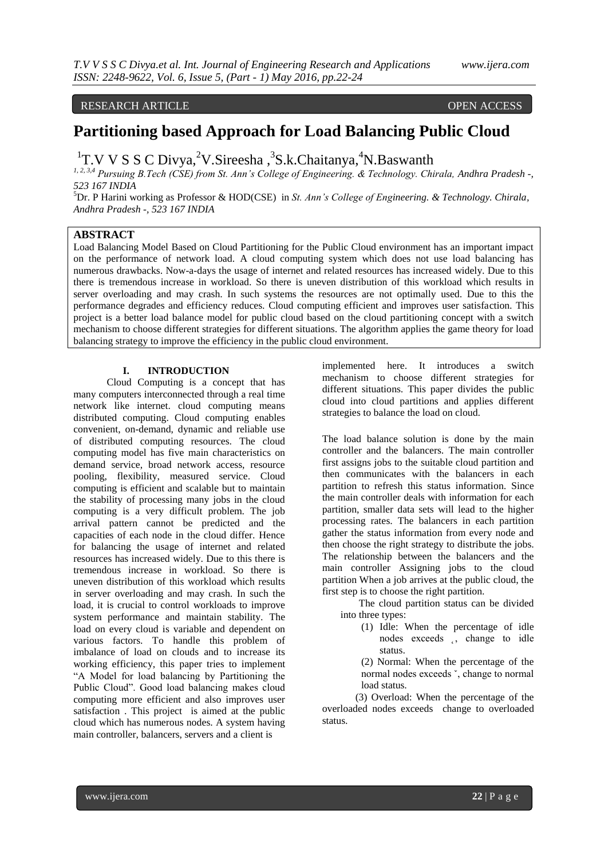# RESEARCH ARTICLE OPEN ACCESS

# **Partitioning based Approach for Load Balancing Public Cloud**

<sup>1</sup>T.V V S S C Divya,<sup>2</sup>V.Sireesha,<sup>3</sup>S.k.Chaitanya,<sup>4</sup>N.Baswanth

*1, 2, 3,4 Pursuing B.Tech (CSE) from St. Ann's College of Engineering. & Technology. Chirala, Andhra Pradesh -, 523 167 INDIA*

<sup>5</sup>Dr. P Harini working as Professor & HOD(CSE) in *St. Ann's College of Engineering. & Technology. Chirala, Andhra Pradesh -, 523 167 INDIA*

## **ABSTRACT**

Load Balancing Model Based on Cloud Partitioning for the Public Cloud environment has an important impact on the performance of network load. A cloud computing system which does not use load balancing has numerous drawbacks. Now-a-days the usage of internet and related resources has increased widely. Due to this there is tremendous increase in workload. So there is uneven distribution of this workload which results in server overloading and may crash. In such systems the resources are not optimally used. Due to this the performance degrades and efficiency reduces. Cloud computing efficient and improves user satisfaction. This project is a better load balance model for public cloud based on the cloud partitioning concept with a switch mechanism to choose different strategies for different situations. The algorithm applies the game theory for load balancing strategy to improve the efficiency in the public cloud environment.

### **I. INTRODUCTION**

 Cloud Computing is a concept that has many computers interconnected through a real time network like internet. cloud computing means distributed computing. Cloud computing enables convenient, on-demand, dynamic and reliable use of distributed computing resources. The cloud computing model has five main characteristics on demand service, broad network access, resource pooling, flexibility, measured service. Cloud computing is efficient and scalable but to maintain the stability of processing many jobs in the cloud computing is a very difficult problem. The job arrival pattern cannot be predicted and the capacities of each node in the cloud differ. Hence for balancing the usage of internet and related resources has increased widely. Due to this there is tremendous increase in workload. So there is uneven distribution of this workload which results in server overloading and may crash. In such the load, it is crucial to control workloads to improve system performance and maintain stability. The load on every cloud is variable and dependent on various factors. To handle this problem of imbalance of load on clouds and to increase its working efficiency, this paper tries to implement "A Model for load balancing by Partitioning the Public Cloud". Good load balancing makes cloud computing more efficient and also improves user satisfaction . This project is aimed at the public cloud which has numerous nodes. A system having main controller, balancers, servers and a client is

implemented here. It introduces a switch mechanism to choose different strategies for different situations. This paper divides the public cloud into cloud partitions and applies different strategies to balance the load on cloud.

The load balance solution is done by the main controller and the balancers. The main controller first assigns jobs to the suitable cloud partition and then communicates with the balancers in each partition to refresh this status information. Since the main controller deals with information for each partition, smaller data sets will lead to the higher processing rates. The balancers in each partition gather the status information from every node and then choose the right strategy to distribute the jobs. The relationship between the balancers and the main controller Assigning jobs to the cloud partition When a job arrives at the public cloud, the first step is to choose the right partition.

The cloud partition status can be divided into three types:

> (1) Idle: When the percentage of idle nodes exceeds , change to idle status.

> (2) Normal: When the percentage of the normal nodes exceeds ˇ, change to normal load status.

 (3) Overload: When the percentage of the overloaded nodes exceeds change to overloaded status.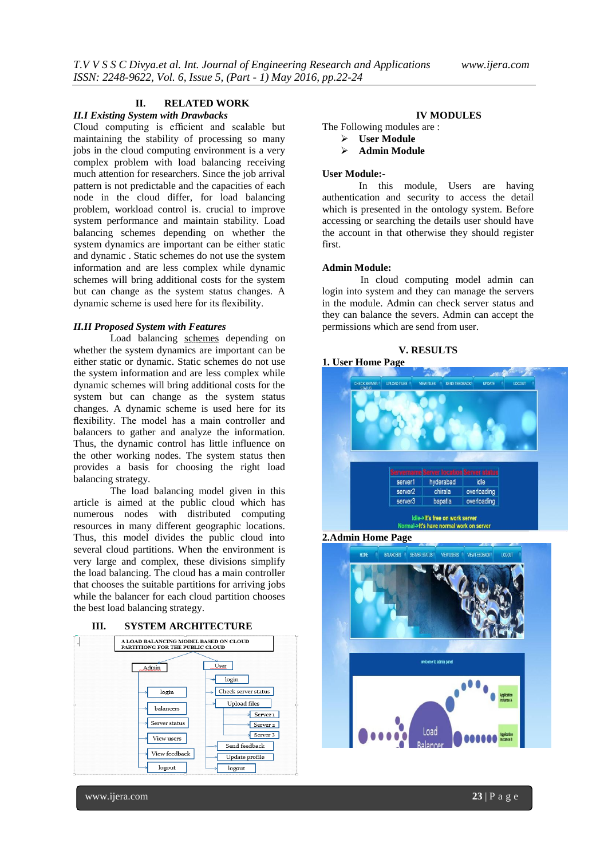# **II. RELATED WORK**

#### *II.I Existing System with Drawbacks*

Cloud computing is efficient and scalable but maintaining the stability of processing so many jobs in the cloud computing environment is a very complex problem with load balancing receiving much attention for researchers. Since the job arrival pattern is not predictable and the capacities of each node in the cloud differ, for load balancing problem, workload control is. crucial to improve system performance and maintain stability. Load balancing schemes depending on whether the system dynamics are important can be either static and dynamic . Static schemes do not use the system information and are less complex while dynamic schemes will bring additional costs for the system but can change as the system status changes. A dynamic scheme is used here for its flexibility.

#### *II.II Proposed System with Features*

Load balancing schemes depending on whether the system dynamics are important can be either static or dynamic. Static schemes do not use the system information and are less complex while dynamic schemes will bring additional costs for the system but can change as the system status changes. A dynamic scheme is used here for its flexibility. The model has a main controller and balancers to gather and analyze the information. Thus, the dynamic control has little influence on the other working nodes. The system status then provides a basis for choosing the right load balancing strategy.

The load balancing model given in this article is aimed at the public cloud which has numerous nodes with distributed computing resources in many different geographic locations. Thus, this model divides the public cloud into several cloud partitions. When the environment is very large and complex, these divisions simplify the load balancing. The cloud has a main controller that chooses the suitable partitions for arriving jobs while the balancer for each cloud partition chooses the best load balancing strategy.





#### **IV MODULES**

The Following modules are :

- $\triangleright$  User Module
- **Admin Module**

#### **User Module:-**

In this module, Users are having authentication and security to access the detail which is presented in the ontology system. Before accessing or searching the details user should have the account in that otherwise they should register first.

#### **Admin Module:**

 In cloud computing model admin can login into system and they can manage the servers in the module. Admin can check server status and they can balance the severs. Admin can accept the permissions which are send from user.

#### **V. RESULTS**

# **1. User Home Page** server1 hyderabad idle server2 chirala overloading server3 bapatla overloading Idle->It's free on work server al->It's have normal work on server

**2.Admin Home Page**



www.ijera.com **23** | P a g e